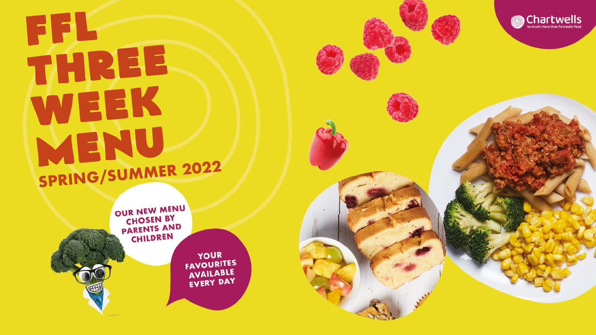## FFL THREE WEEK MENU SPRING/SUMMER 2022



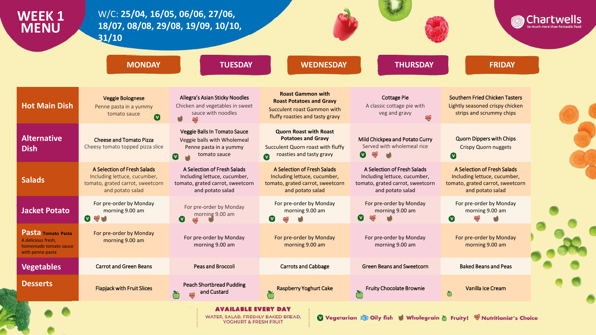| WEEK 1<br><b>MENU</b>                                                                        | W/C: 25/04, 16/05, 06/06, 27/06,<br>31/10                                                                           | 18/07, 08/08, 29/08, 19/09, 10/10,                                                                                  |                                                                                                                                          |                                                                                                                     | Chartwells                                                                                                          |  |  |
|----------------------------------------------------------------------------------------------|---------------------------------------------------------------------------------------------------------------------|---------------------------------------------------------------------------------------------------------------------|------------------------------------------------------------------------------------------------------------------------------------------|---------------------------------------------------------------------------------------------------------------------|---------------------------------------------------------------------------------------------------------------------|--|--|
|                                                                                              | <b>MONDAY</b>                                                                                                       | <b>TUESDAY</b>                                                                                                      | <b>WEDNESDAY</b>                                                                                                                         | <b>THURSDAY</b>                                                                                                     | <b>FRIDAY</b>                                                                                                       |  |  |
| <b>Hot Main Dish</b>                                                                         | <b>Veggie Bolognese</b><br>Penne pasta in a yummy<br>tomato sauce<br>$\boldsymbol{\Omega}$                          | Allegra's Asian Sticky Noodles<br>Chicken and vegetables in sweet<br>sauce with noodles<br>$\infty$                 | <b>Roast Gammon with</b><br><b>Roast Potatoes and Gravy</b><br>Succulent roast Gammon with<br>fluffy roasties and tasty gravy            | <b>Cottage Pie</b><br>A classic cottage pie with<br>veg and gravy<br>em                                             | <b>Southern Fried Chicken Tasters</b><br>Lightly seasoned crispy chicken<br>strips and scrummy chips                |  |  |
| <b>Alternative</b><br><b>Dish</b>                                                            | <b>Cheese and Tomato Pizza</b><br>Cheesy tomato topped pizza slice                                                  | Veggie Balls In Tomato Sauce<br>Veggie balls with Wholemeal<br>Penne pasta in a yummy<br>tomato sauce               | <b>Quorn Roast with Roast</b><br><b>Potatoes and Gravy</b><br>Succulent Quorn roast with fluffy<br>roasties and tasty gravy<br>$\bullet$ | Mild Chickpea and Potato Curry<br>Served with wholemeal rice<br><b>ANY</b><br>$(\mathbf{v})$                        | <b>Quorn Dippers with Chips</b><br><b>Crispy Quorn nuggets</b><br>$\boldsymbol{\Omega}$                             |  |  |
| <b>Salads</b>                                                                                | A Selection of Fresh Salads<br>Including lettuce, cucumber,<br>tomato, grated carrot, sweetcorn<br>and potato salad | A Selection of Fresh Salads<br>Including lettuce, cucumber,<br>tomato, grated carrot, sweetcorn<br>and potato salad | A Selection of Fresh Salads<br>Including lettuce, cucumber,<br>tomato, grated carrot, sweetcorn<br>and potato salad                      | A Selection of Fresh Salads<br>Including lettuce, cucumber,<br>tomato, grated carrot, sweetcorn<br>and potato salad | A Selection of Fresh Salads<br>Including lettuce, cucumber,<br>tomato, grated carrot, sweetcorn<br>and potato salad |  |  |
| <b>Jacket Potato</b>                                                                         | For pre-order by Monday<br>morning 9.00 am<br><b>DE AND SEP</b>                                                     | For pre-order by Monday<br>morning 9.00 am<br>$\bullet$                                                             | For pre-order by Monday<br>morning 9.00 am                                                                                               | For pre-order by Monday<br>morning 9.00 am                                                                          | For pre-order by Monday<br>morning 9.00 am<br>$\mathbf v$<br><b>SOP</b>                                             |  |  |
| <b>Pasta Tomato Pasta</b><br>A delicious fresh.<br>homemade tomato sauce<br>with penne pasta | For pre-order by Monday<br>morning 9.00 am                                                                          | For pre-order by Monday<br>morning 9.00 am                                                                          | For pre-order by Monday<br>morning 9.00 am                                                                                               | For pre-order by Monday<br>morning 9.00 am                                                                          | For pre-order by Monday<br>morning 9.00 am                                                                          |  |  |
| <b>Vegetables</b>                                                                            | <b>Carrot and Green Beans</b>                                                                                       | <b>Peas and Broccoli</b>                                                                                            | <b>Carrots and Cabbage</b>                                                                                                               | <b>Green Beans and Sweetcorn</b>                                                                                    | <b>Baked Beans and Peas</b>                                                                                         |  |  |
| <b>Desserts</b>                                                                              | <b>Flapjack with Fruit Slices</b>                                                                                   | <b>Peach Shortbread Pudding</b><br>and Custard                                                                      | Raspberry Yoghurt Cake<br>గ                                                                                                              | <b>Fruity Chocolate Brownie</b>                                                                                     | Vanilla Ice Cream<br>$\breve{\mathbb{O}}$                                                                           |  |  |
|                                                                                              |                                                                                                                     | AVAILABLE EVERY DAY<br>WATER, SALAD, FRESHLY BAKED BREAD,<br>YOGHURT & FRESH FRUIT                                  |                                                                                                                                          | Vegetarian & Oily fish & Wholegrain & Fruity! W Nutritionist's Choice                                               |                                                                                                                     |  |  |

r,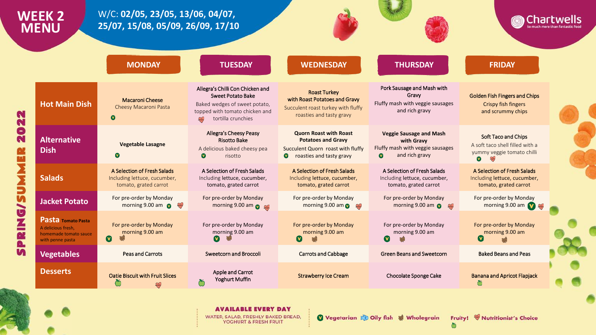## W/C: 02/05, 23/05, 13/06, 04/07, **WEEK 2** Chartwells 25/07, 15/08, 05/09, 26/09, 17/10 **MENU WEDNESDAY MONDAY TUESDAY THURSDAY FRIDAY** Allegra's Chilli Con Chicken and Pork Sausage and Mash with **Roast Turkey Sweet Potato Bake** Gravy **Golden Fish Fingers and Chips Macaroni Cheese** with Roast Potatoes and Gravy **Hot Main Dish** Fluffy mash with veggie sausages Baked wedges of sweet potato, Crispy fish fingers Cheesy Macaroni Pasta Succulent roast turkey with fluffy and rich gravy topped with tomato chicken and and scrummy chips 22 roasties and tasty gravy  $\mathbf o$ tortilla crunchies m 0 Allegra's Cheesy Peasy **Quorn Roast with Roast Veggie Sausage and Mash** Soft Taco and Chips N **Alternative Risotto Bake Potatoes and Gravy** with Gravy **Vegetable Lasagne** A soft taco shell filled with a Fluffy mash with veggie sausages A delicious baked cheesy pea Succulent Quorn roast with fluffy **Dish** yummy veggie tomato chilli  $\bullet$ and rich gravy  $\bullet$ risotto  $\bullet$ roasties and tasty gravy  $\boldsymbol{\Omega}$  $\mathbb{R}$  $\bullet$ A Selection of Fresh Salads A Selection of Fresh Salads A Selection of Fresh Salads A Selection of Fresh Salads A Selection of Fresh Salads **Salads** Including lettuce, cucumber, Including lettuce, cucumber, Including lettuce, cucumber, Including lettuce, cucumber, Including lettuce, cucumber, tomato, grated carrot tomato, grated carrot tomato, grated carrot tomato, grated carrot tomato, grated carrot For pre-order by Monday For pre-order by Monday For pre-order by Monday For pre-order by Monday For pre-order by Monday **Jacket Potato** morning 9.00 am morning 9.00 am  $\bullet$   $\infty$ morning 9.00 am  $\bullet$   $\bullet$ morning 9.00 am  $\bullet$ morning 9.00 am  $\bullet$   $\infty$ ╰ U Pasta Tomato Pasta For pre-order by Monday For pre-order by Monday For pre-order by Monday For pre-order by Monday For pre-order by Monday A delicious fresh. morning 9.00 am morning 9.00 am morning 9.00 am morning 9.00 am morning 9.00 am **N** homemade tomato sauce  $\bullet$  $\boldsymbol{\Omega}$  $\boldsymbol{\Omega}$ **V** with penne pasta m **Vegetables Peas and Carrots Sweetcorn and Broccoli Carrots and Cabbage Green Beans and Sweetcorn Baked Beans and Peas Desserts** Apple and Carrot **Oatie Biscuit with Fruit Slices Strawberry Ice Cream** Chocolate Sponge Cake **Banana and Apricot Flapjack Yoghurt Muffin**

## **AVAILABLE EVERY DAY** WATER, SALAD, FRESHLY BAKED BREAD,

YOGHURT & FRESH FRUIT

Vegetarian & Oily fish & Wholegrain

Fruity! W Nutritionist's Choice